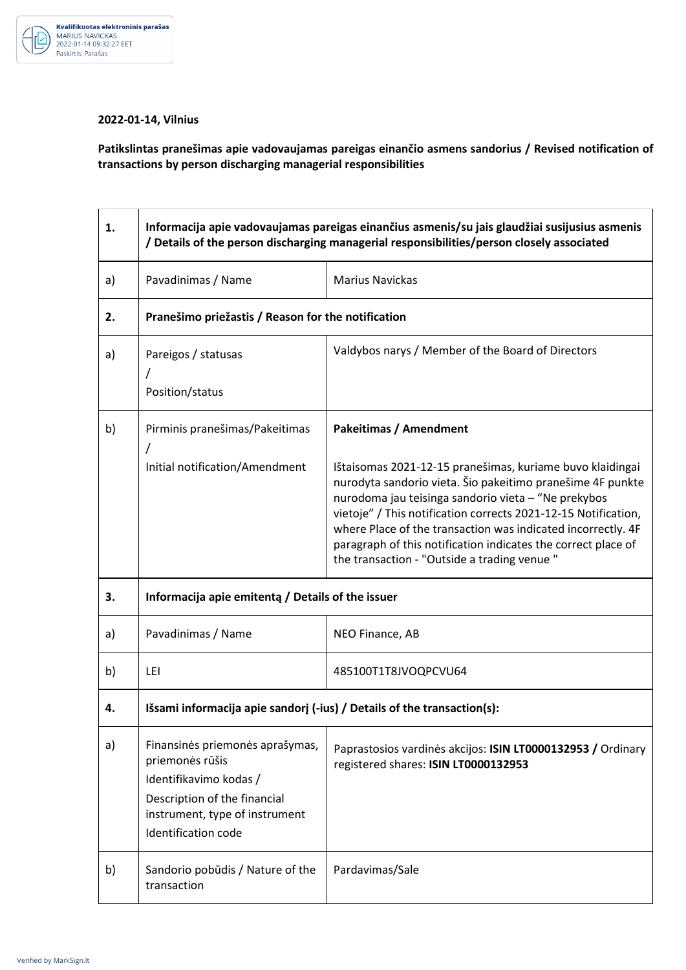

## **2022-01-14, Vilnius**

**Patikslintas pranešimas apie vadovaujamas pareigas einančio asmens sandorius / Revised notification of transactions by person discharging managerial responsibilities** 

| 1. | Informacija apie vadovaujamas pareigas einančius asmenis/su jais glaudžiai susijusius asmenis<br>/ Details of the person discharging managerial responsibilities/person closely associated |                                                                                                                                                                                                                                                                                                                                                                                                                                  |  |
|----|--------------------------------------------------------------------------------------------------------------------------------------------------------------------------------------------|----------------------------------------------------------------------------------------------------------------------------------------------------------------------------------------------------------------------------------------------------------------------------------------------------------------------------------------------------------------------------------------------------------------------------------|--|
| a) | Pavadinimas / Name                                                                                                                                                                         | <b>Marius Navickas</b>                                                                                                                                                                                                                                                                                                                                                                                                           |  |
| 2. | Pranešimo priežastis / Reason for the notification                                                                                                                                         |                                                                                                                                                                                                                                                                                                                                                                                                                                  |  |
| a) | Pareigos / statusas<br>Position/status                                                                                                                                                     | Valdybos narys / Member of the Board of Directors                                                                                                                                                                                                                                                                                                                                                                                |  |
| b) | Pirminis pranešimas/Pakeitimas<br>7                                                                                                                                                        | <b>Pakeitimas / Amendment</b>                                                                                                                                                                                                                                                                                                                                                                                                    |  |
|    | Initial notification/Amendment                                                                                                                                                             | Ištaisomas 2021-12-15 pranešimas, kuriame buvo klaidingai<br>nurodyta sandorio vieta. Šio pakeitimo pranešime 4F punkte<br>nurodoma jau teisinga sandorio vieta - "Ne prekybos<br>vietoje" / This notification corrects 2021-12-15 Notification,<br>where Place of the transaction was indicated incorrectly. 4F<br>paragraph of this notification indicates the correct place of<br>the transaction - "Outside a trading venue" |  |
| 3. | Informacija apie emitentą / Details of the issuer                                                                                                                                          |                                                                                                                                                                                                                                                                                                                                                                                                                                  |  |
| a) | Pavadinimas / Name                                                                                                                                                                         | NEO Finance, AB                                                                                                                                                                                                                                                                                                                                                                                                                  |  |
| b) | LEI                                                                                                                                                                                        | 485100T1T8JVOQPCVU64                                                                                                                                                                                                                                                                                                                                                                                                             |  |
| 4. | Išsami informacija apie sandorį $(-ius)$ / Details of the transaction $(s)$ :                                                                                                              |                                                                                                                                                                                                                                                                                                                                                                                                                                  |  |
| a) | Finansinės priemonės aprašymas,<br>priemonės rūšis<br>Identifikavimo kodas /<br>Description of the financial<br>instrument, type of instrument<br>Identification code                      | Paprastosios vardinės akcijos: ISIN LT0000132953 / Ordinary<br>registered shares: ISIN LT0000132953                                                                                                                                                                                                                                                                                                                              |  |
| b) | Sandorio pobūdis / Nature of the<br>transaction                                                                                                                                            | Pardavimas/Sale                                                                                                                                                                                                                                                                                                                                                                                                                  |  |